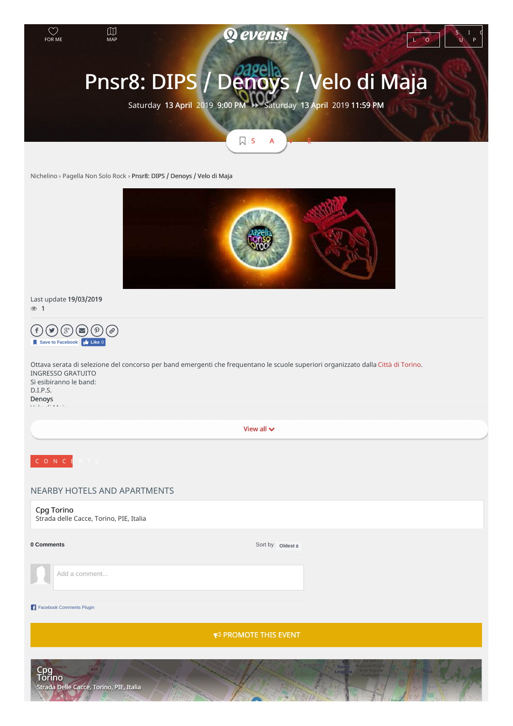

# Last update 19/03/2019 1



View all  $\vee$ NEARBY HOTELS AND APARTMENTS Cpg Torino Strada delle Cacce, Torino, PIE, Italia Ottava serata di selezione del concorso per band emergenti che frequentano le scuole superiori organizzato dalla Città di [Torino](https://www.facebook.com/cittaditorino/). INGRESSO GRATUITO Si esibiranno le band: D.I.P.S. Denoys Velo di Maja

# **0** Comments

Sort by **Oldest**  $\triangleq$ 

Add a comment...

## Facebook Comments Plugin